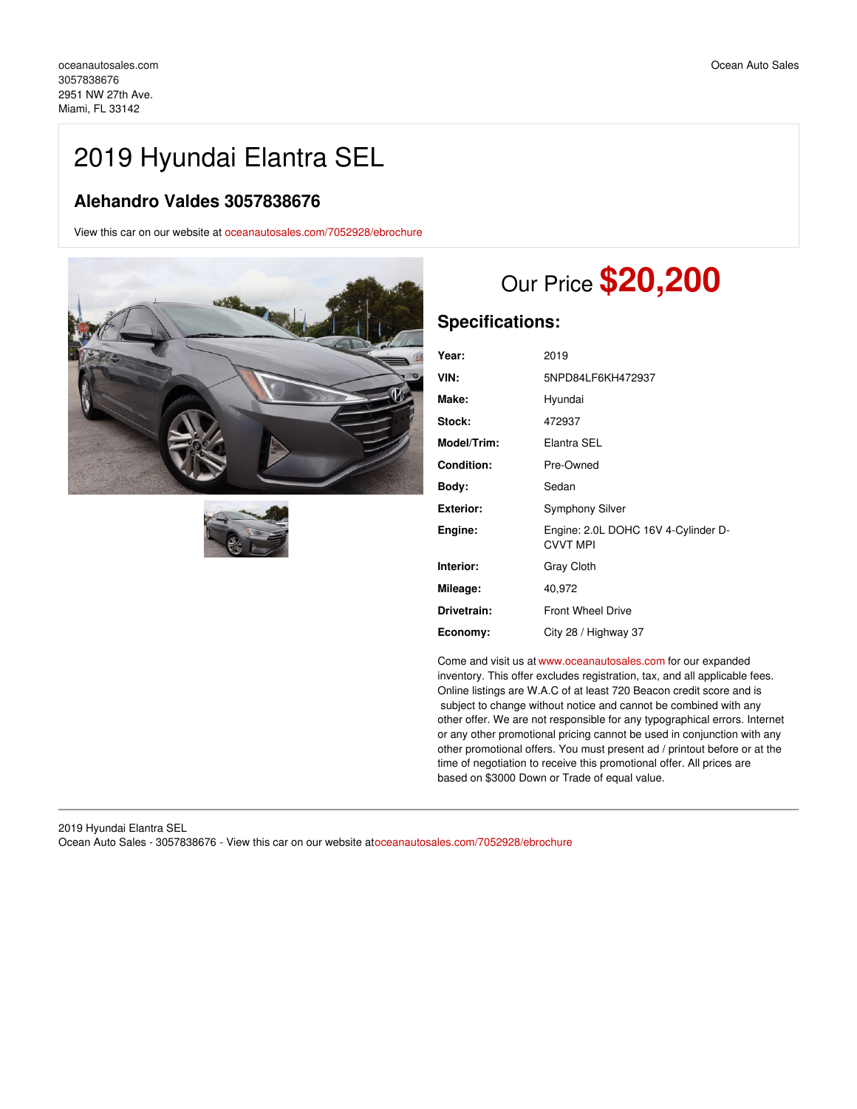## 2019 Hyundai Elantra SEL

## **Alehandro Valdes 3057838676**

View this car on our website at [oceanautosales.com/7052928/ebrochure](https://oceanautosales.com/vehicle/7052928/2019-hyundai-elantra-sel-miami-fl-33142/7052928/ebrochure)





# Our Price **\$20,200**

## **Specifications:**

| Year:              | 2019                                                   |
|--------------------|--------------------------------------------------------|
| VIN:               | 5NPD84LF6KH472937                                      |
| Make:              | Hyundai                                                |
| Stock:             | 472937                                                 |
| <b>Model/Trim:</b> | Elantra SEL                                            |
| Condition:         | Pre-Owned                                              |
| Body:              | Sedan                                                  |
| Exterior:          | <b>Symphony Silver</b>                                 |
| Engine:            | Engine: 2.0L DOHC 16V 4-Cylinder D-<br><b>CVVT MPI</b> |
| Interior:          | Gray Cloth                                             |
| Mileage:           | 40,972                                                 |
| Drivetrain:        | <b>Front Wheel Drive</b>                               |
| Economy:           | City 28 / Highway 37                                   |

Come and visit us at [www.oceanautosales.com](http://www.oceanautosales.com) for our expanded inventory. This offer excludes registration, tax, and all applicable fees. Online listings are W.A.C of at least 720 Beacon credit score and is subject to change without notice and cannot be combined with any other offer. We are not responsible for any typographical errors. Internet or any other promotional pricing cannot be used in conjunction with any other promotional offers. You must present ad / printout before or at the time of negotiation to receive this promotional offer. All prices are based on \$3000 Down or Trade of equal value.

2019 Hyundai Elantra SEL Ocean Auto Sales - 3057838676 - View this car on our website at[oceanautosales.com/7052928/ebrochure](https://oceanautosales.com/vehicle/7052928/2019-hyundai-elantra-sel-miami-fl-33142/7052928/ebrochure)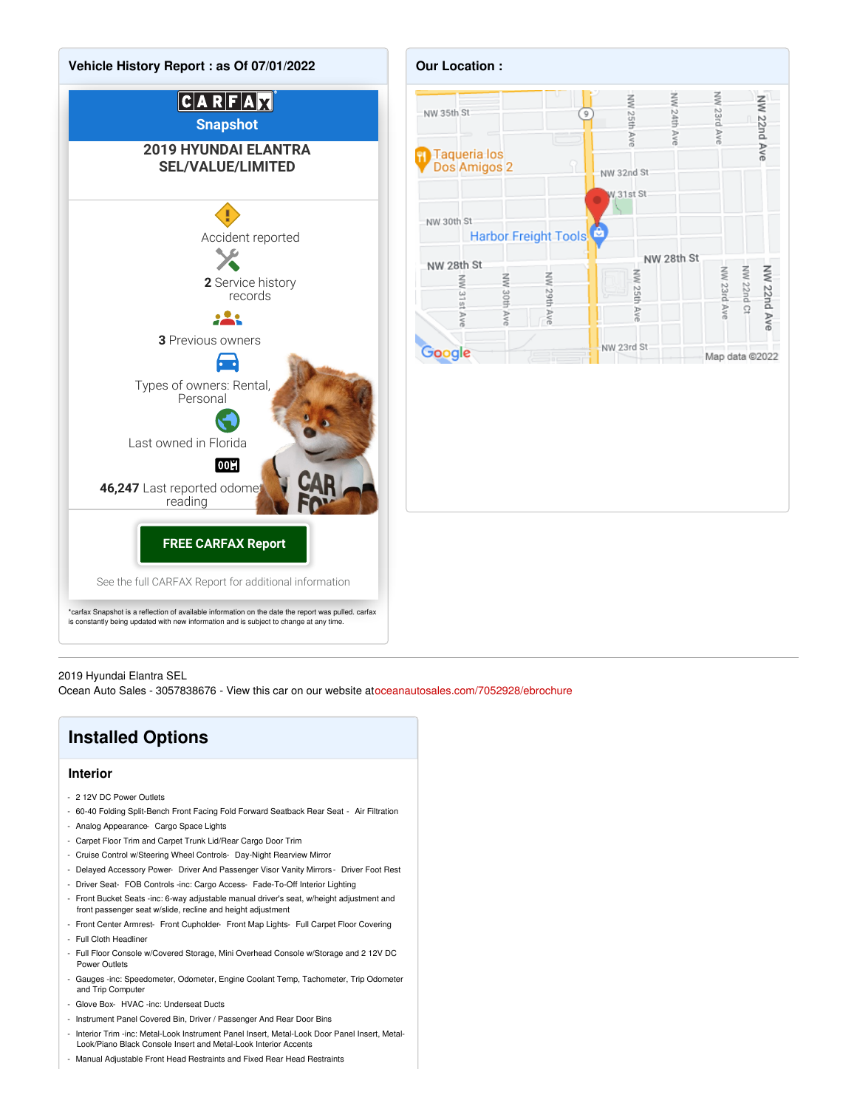



2019 Hyundai Elantra SEL

Ocean Auto Sales - 3057838676 - View this car on our website at[oceanautosales.com/7052928/ebrochure](https://oceanautosales.com/vehicle/7052928/2019-hyundai-elantra-sel-miami-fl-33142/7052928/ebrochure)

## **Installed Options**

### **Interior**

- 2 12V DC Power Outlets
- 60-40 Folding Split-Bench Front Facing Fold Forward Seatback Rear Seat Air Filtration
- Analog Appearance- Cargo Space Lights
- Carpet Floor Trim and Carpet Trunk Lid/Rear Cargo Door Trim
- Cruise Control w/Steering Wheel Controls- Day-Night Rearview Mirror
- Delayed Accessory Power- Driver And Passenger Visor Vanity Mirrors Driver Foot Rest
- Driver Seat- FOB Controls -inc: Cargo Access- Fade-To-Off Interior Lighting
- Front Bucket Seats -inc: 6-way adjustable manual driver's seat, w/height adjustment and front passenger seat w/slide, recline and height adjustment
- Front Center Armrest- Front Cupholder- Front Map Lights- Full Carpet Floor Covering
- Full Cloth Headline
- Full Floor Console w/Covered Storage, Mini Overhead Console w/Storage and 2 12V DC Power Outlets
- Gauges -inc: Speedometer, Odometer, Engine Coolant Temp, Tachometer, Trip Odometer and Trip Computer
- Glove Box- HVAC -inc: Underseat Ducts
- Instrument Panel Covered Bin, Driver / Passenger And Rear Door Bins
- Interior Trim -inc: Metal-Look Instrument Panel Insert, Metal-Look Door Panel Insert, Metal-Look/Piano Black Console Insert and Metal-Look Interior Accents
- Manual Adjustable Front Head Restraints and Fixed Rear Head Restraints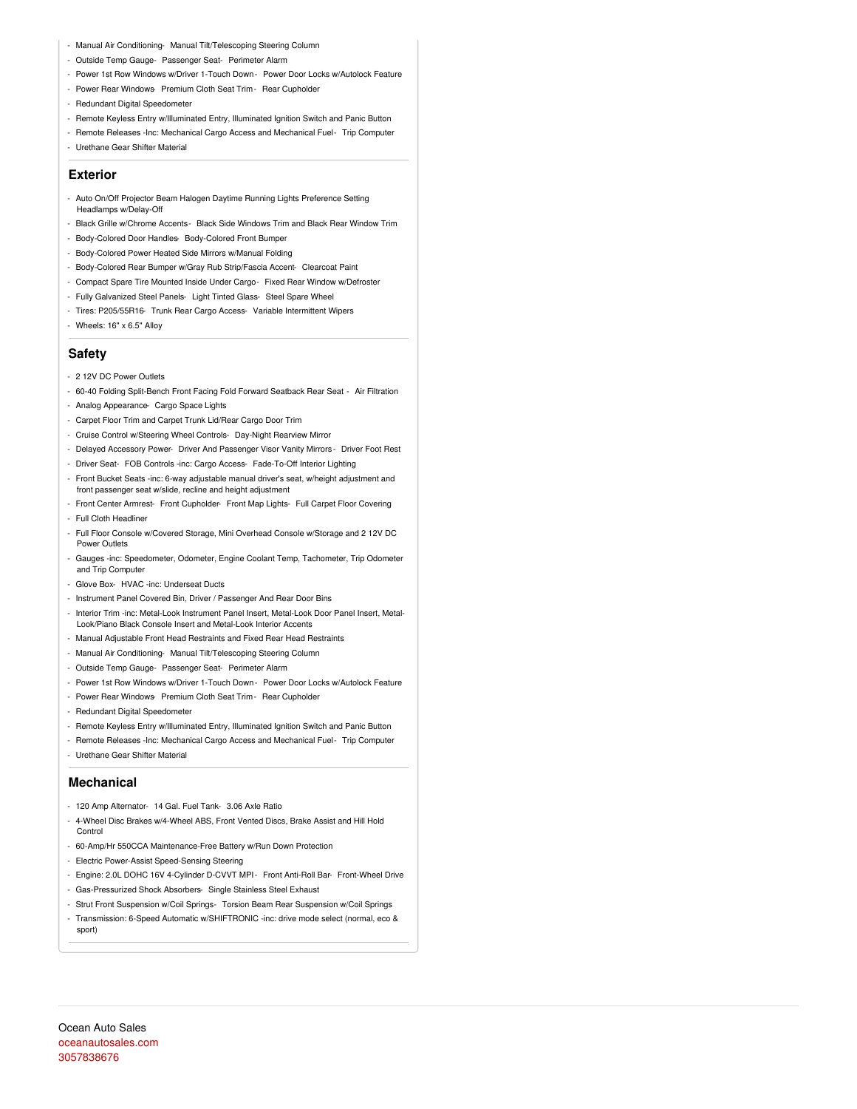- Manual Air Conditioning- Manual Tilt/Telescoping Steering Column
- Outside Temp Gauge- Passenger Seat- Perimeter Alarm
- Power 1st Row Windows w/Driver 1-Touch Down Power Door Locks w/Autolock Feature
- Power Rear Windows- Premium Cloth Seat Trim- Rear Cupholder
- Redundant Digital Speedometer
- Remote Keyless Entry w/Illuminated Entry, Illuminated Ignition Switch and Panic Button
- Remote Releases -Inc: Mechanical Cargo Access and Mechanical Fuel- Trip Computer
- Urethane Gear Shifter Material

### **Exterior**

- Auto On/Off Projector Beam Halogen Daytime Running Lights Preference Setting Headlamps w/Delay-Off
- Black Grille w/Chrome Accents- Black Side Windows Trim and Black Rear Window Trim
- Body-Colored Door Handles- Body-Colored Front Bumper
- Body-Colored Power Heated Side Mirrors w/Manual Folding
- Body-Colored Rear Bumper w/Gray Rub Strip/Fascia Accent- Clearcoat Paint
- Compact Spare Tire Mounted Inside Under Cargo- Fixed Rear Window w/Defroster
- Fully Galvanized Steel Panels- Light Tinted Glass- Steel Spare Wheel
- Tires: P205/55R16- Trunk Rear Cargo Access- Variable Intermittent Wipers
- Wheels: 16" x 6.5" Alloy

#### **Safety**

- 2 12V DC Power Outlets
- 60-40 Folding Split-Bench Front Facing Fold Forward Seatback Rear Seat Air Filtration
- Analog Appearance- Cargo Space Lights
- Carpet Floor Trim and Carpet Trunk Lid/Rear Cargo Door Trim
- Cruise Control w/Steering Wheel Controls- Day-Night Rearview Mirror
- Delayed Accessory Power- Driver And Passenger Visor Vanity Mirrors Driver Foot Rest
- Driver Seat- FOB Controls -inc: Cargo Access- Fade-To-Off Interior Lighting
- Front Bucket Seats -inc: 6-way adjustable manual driver's seat, w/height adjustment and front passenger seat w/slide, recline and height adjustment
- Front Center Armrest- Front Cupholder- Front Map Lights- Full Carpet Floor Covering - Full Cloth Headliner
- Full Floor Console w/Covered Storage, Mini Overhead Console w/Storage and 2 12V DC Power Outlets
- Gauges -inc: Speedometer, Odometer, Engine Coolant Temp, Tachometer, Trip Odometer and Trip Computer
- Glove Box- HVAC -inc: Underseat Ducts
- Instrument Panel Covered Bin, Driver / Passenger And Rear Door Bins
- Interior Trim -inc: Metal-Look Instrument Panel Insert, Metal-Look Door Panel Insert, Metal-Look/Piano Black Console Insert and Metal-Look Interior Accents
- Manual Adjustable Front Head Restraints and Fixed Rear Head Restraints
- Manual Air Conditioning- Manual Tilt/Telescoping Steering Column
- Outside Temp Gauge- Passenger Seat- Perimeter Alarm
- Power 1st Row Windows w/Driver 1-Touch Down Power Door Locks w/Autolock Feature
- Power Rear Windows- Premium Cloth Seat Trim- Rear Cupholder
- Redundant Digital Speedometer
- Remote Keyless Entry w/Illuminated Entry, Illuminated Ignition Switch and Panic Button
- Remote Releases -Inc: Mechanical Cargo Access and Mechanical Fuel- Trip Computer
- Urethane Gear Shifter Material

#### **Mechanical**

- 120 Amp Alternator- 14 Gal. Fuel Tank- 3.06 Axle Ratio
- 4-Wheel Disc Brakes w/4-Wheel ABS, Front Vented Discs, Brake Assist and Hill Hold Control
- 60-Amp/Hr 550CCA Maintenance-Free Battery w/Run Down Protection
- Electric Power-Assist Speed-Sensing Steering
- Engine: 2.0L DOHC 16V 4-Cylinder D-CVVT MPI- Front Anti-Roll Bar- Front-Wheel Drive
- Gas-Pressurized Shock Absorbers- Single Stainless Steel Exhaust
- Strut Front Suspension w/Coil Springs- Torsion Beam Rear Suspension w/Coil Springs
- Transmission: 6-Speed Automatic w/SHIFTRONIC -inc: drive mode select (normal, eco & sport)